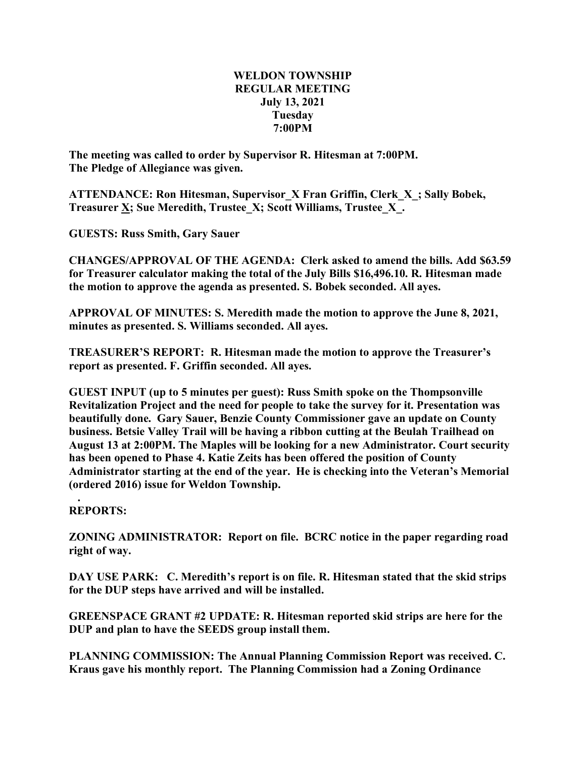## **WELDON TOWNSHIP REGULAR MEETING July 13, 2021 Tuesday 7:00PM**

**The meeting was called to order by Supervisor R. Hitesman at 7:00PM. The Pledge of Allegiance was given.**

**ATTENDANCE: Ron Hitesman, Supervisor\_X Fran Griffin, Clerk\_X\_; Sally Bobek, Treasurer X; Sue Meredith, Trustee\_X; Scott Williams, Trustee\_X\_.**

**GUESTS: Russ Smith, Gary Sauer**

**CHANGES/APPROVAL OF THE AGENDA: Clerk asked to amend the bills. Add \$63.59 for Treasurer calculator making the total of the July Bills \$16,496.10. R. Hitesman made the motion to approve the agenda as presented. S. Bobek seconded. All ayes.**

**APPROVAL OF MINUTES: S. Meredith made the motion to approve the June 8, 2021, minutes as presented. S. Williams seconded. All ayes.**

**TREASURER'S REPORT: R. Hitesman made the motion to approve the Treasurer's report as presented. F. Griffin seconded. All ayes.**

**GUEST INPUT (up to 5 minutes per guest): Russ Smith spoke on the Thompsonville Revitalization Project and the need for people to take the survey for it. Presentation was beautifully done. Gary Sauer, Benzie County Commissioner gave an update on County business. Betsie Valley Trail will be having a ribbon cutting at the Beulah Trailhead on August 13 at 2:00PM. The Maples will be looking for a new Administrator. Court security has been opened to Phase 4. Katie Zeits has been offered the position of County Administrator starting at the end of the year. He is checking into the Veteran's Memorial (ordered 2016) issue for Weldon Township.**

**. REPORTS:**

**ZONING ADMINISTRATOR: Report on file. BCRC notice in the paper regarding road right of way.**

**DAY USE PARK: C. Meredith's report is on file. R. Hitesman stated that the skid strips for the DUP steps have arrived and will be installed.**

**GREENSPACE GRANT #2 UPDATE: R. Hitesman reported skid strips are here for the DUP and plan to have the SEEDS group install them.**

**PLANNING COMMISSION: The Annual Planning Commission Report was received. C. Kraus gave his monthly report. The Planning Commission had a Zoning Ordinance**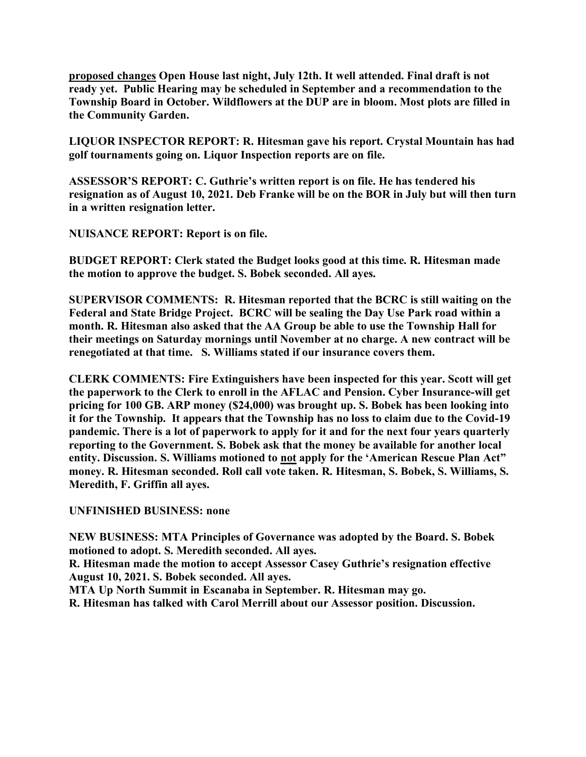**proposed changes Open House last night, July 12th. It well attended. Final draft is not ready yet. Public Hearing may be scheduled in September and a recommendation to the Township Board in October. Wildflowers at the DUP are in bloom. Most plots are filled in the Community Garden.**

**LIQUOR INSPECTOR REPORT: R. Hitesman gave his report. Crystal Mountain has had golf tournaments going on. Liquor Inspection reports are on file.**

**ASSESSOR'S REPORT: C. Guthrie's written report is on file. He has tendered his resignation as of August 10, 2021. Deb Franke will be on the BOR in July but will then turn in a written resignation letter.**

**NUISANCE REPORT: Report is on file.**

**BUDGET REPORT: Clerk stated the Budget looks good at this time. R. Hitesman made the motion to approve the budget. S. Bobek seconded. All ayes.**

**SUPERVISOR COMMENTS: R. Hitesman reported that the BCRC is still waiting on the Federal and State Bridge Project. BCRC will be sealing the Day Use Park road within a month. R. Hitesman also asked that the AA Group be able to use the Township Hall for their meetings on Saturday mornings until November at no charge. A new contract will be renegotiated at that time. S. Williams stated if our insurance covers them.**

**CLERK COMMENTS: Fire Extinguishers have been inspected for this year. Scott will get the paperwork to the Clerk to enroll in the AFLAC and Pension. Cyber Insurance-will get pricing for 100 GB. ARP money (\$24,000) was brought up. S. Bobek has been looking into it for the Township. It appears that the Township has no loss to claim due to the Covid-19 pandemic. There is a lot of paperwork to apply for it and for the next four years quarterly reporting to the Government. S. Bobek ask that the money be available for another local entity. Discussion. S. Williams motioned to not apply for the 'American Rescue Plan Act" money. R. Hitesman seconded. Roll call vote taken. R. Hitesman, S. Bobek, S. Williams, S. Meredith, F. Griffin all ayes.**

**UNFINISHED BUSINESS: none**

**NEW BUSINESS: MTA Principles of Governance was adopted by the Board. S. Bobek motioned to adopt. S. Meredith seconded. All ayes. R. Hitesman made the motion to accept Assessor Casey Guthrie's resignation effective**

**August 10, 2021. S. Bobek seconded. All ayes.**

**MTA Up North Summit in Escanaba in September. R. Hitesman may go.**

**R. Hitesman has talked with Carol Merrill about our Assessor position. Discussion.**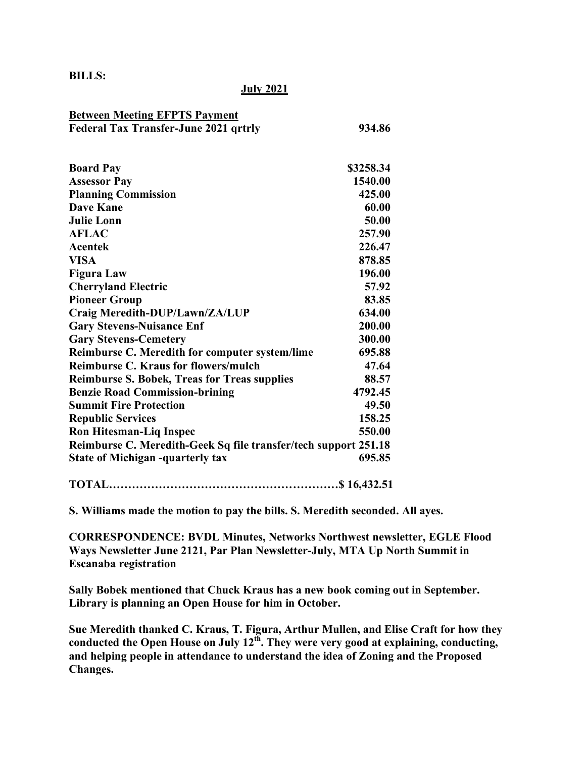**BILLS:**

## **July 2021**

| <b>Between Meeting EFPTS Payment</b>                            |           |
|-----------------------------------------------------------------|-----------|
| <b>Federal Tax Transfer-June 2021 qrtrly</b>                    | 934.86    |
|                                                                 |           |
|                                                                 |           |
| <b>Board Pay</b>                                                | \$3258.34 |
| <b>Assessor Pay</b>                                             | 1540.00   |
| <b>Planning Commission</b>                                      | 425.00    |
| <b>Dave Kane</b>                                                | 60.00     |
| <b>Julie Lonn</b>                                               | 50.00     |
| <b>AFLAC</b>                                                    | 257.90    |
| Acentek                                                         | 226.47    |
| <b>VISA</b>                                                     | 878.85    |
| <b>Figura Law</b>                                               | 196.00    |
| <b>Cherryland Electric</b>                                      | 57.92     |
| <b>Pioneer Group</b>                                            | 83.85     |
| Craig Meredith-DUP/Lawn/ZA/LUP                                  | 634.00    |
| <b>Gary Stevens-Nuisance Enf</b>                                | 200.00    |
| <b>Gary Stevens-Cemetery</b>                                    | 300.00    |
| Reimburse C. Meredith for computer system/lime                  | 695.88    |
| <b>Reimburse C. Kraus for flowers/mulch</b>                     | 47.64     |
| <b>Reimburse S. Bobek, Treas for Treas supplies</b>             | 88.57     |
| <b>Benzie Road Commission-brining</b>                           | 4792.45   |
| <b>Summit Fire Protection</b>                                   | 49.50     |
| <b>Republic Services</b>                                        | 158.25    |
| <b>Ron Hitesman-Liq Inspec</b>                                  | 550.00    |
| Reimburse C. Meredith-Geek Sq file transfer/tech support 251.18 |           |
| <b>State of Michigan -quarterly tax</b>                         | 695.85    |
|                                                                 |           |

**TOTAL……………………………………………………\$ 16,432.51** 

**S. Williams made the motion to pay the bills. S. Meredith seconded. All ayes.**

**CORRESPONDENCE: BVDL Minutes, Networks Northwest newsletter, EGLE Flood Ways Newsletter June 2121, Par Plan Newsletter-July, MTA Up North Summit in Escanaba registration**

**Sally Bobek mentioned that Chuck Kraus has a new book coming out in September. Library is planning an Open House for him in October.**

**Sue Meredith thanked C. Kraus, T. Figura, Arthur Mullen, and Elise Craft for how they conducted the Open House on July 12th. They were very good at explaining, conducting, and helping people in attendance to understand the idea of Zoning and the Proposed Changes.**